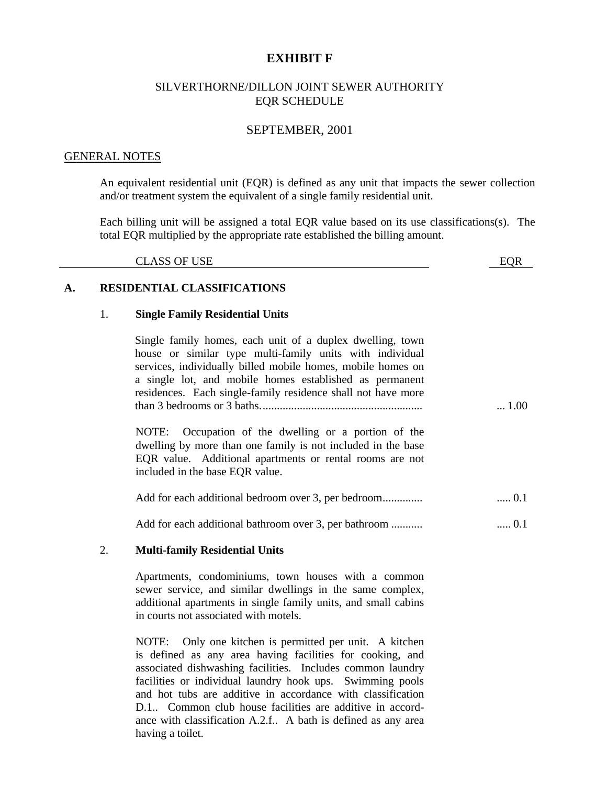# **EXHIBIT F**

# SILVERTHORNE/DILLON JOINT SEWER AUTHORITY EQR SCHEDULE

# SEPTEMBER, 2001

## GENERAL NOTES

An equivalent residential unit (EQR) is defined as any unit that impacts the sewer collection and/or treatment system the equivalent of a single family residential unit.

Each billing unit will be assigned a total EQR value based on its use classifications(s). The total EQR multiplied by the appropriate rate established the billing amount.

| <b>CLASS OF USE</b><br><b>EOR</b> |
|-----------------------------------|
|-----------------------------------|

# **A. RESIDENTIAL CLASSIFICATIONS**

## 1. **Single Family Residential Units**

Single family homes, each unit of a duplex dwelling, town house or similar type multi-family units with individual services, individually billed mobile homes, mobile homes on a single lot, and mobile homes established as permanent residences. Each single-family residence shall not have more than 3 bedrooms or 3 baths......................................................... ... 1.00

NOTE: Occupation of the dwelling or a portion of the dwelling by more than one family is not included in the base EQR value. Additional apartments or rental rooms are not included in the base EQR value.

| Add for each additional bedroom over 3, per bedroom | $0.1$ |
|-----------------------------------------------------|-------|
|                                                     |       |

Add for each additional bathroom over 3, per bathroom ........... ..... 0.1

# 2. **Multi-family Residential Units**

Apartments, condominiums, town houses with a common sewer service, and similar dwellings in the same complex, additional apartments in single family units, and small cabins in courts not associated with motels.

NOTE: Only one kitchen is permitted per unit. A kitchen is defined as any area having facilities for cooking, and associated dishwashing facilities. Includes common laundry facilities or individual laundry hook ups. Swimming pools and hot tubs are additive in accordance with classification D.1.. Common club house facilities are additive in accordance with classification A.2.f.. A bath is defined as any area having a toilet.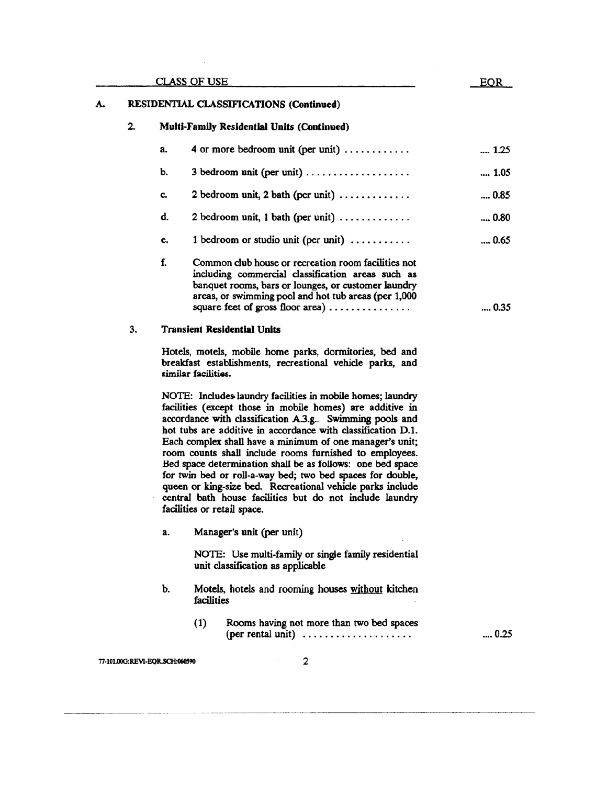|    |    | CLASS OF USE                                                                                                                                                                                                                                                | <b>EOR</b>   |  |
|----|----|-------------------------------------------------------------------------------------------------------------------------------------------------------------------------------------------------------------------------------------------------------------|--------------|--|
|    |    | RESIDENTIAL CLASSIFICATIONS (Continued)                                                                                                                                                                                                                     |              |  |
| 2. |    | Multi-Family Residential Units (Continued)                                                                                                                                                                                                                  |              |  |
|    | a. | 4 or more bedroom unit (per unit) $\dots \dots \dots$                                                                                                                                                                                                       | 1.25         |  |
|    | b. | $3$ bedroom unit (per unit) $\dots \dots \dots \dots \dots$                                                                                                                                                                                                 | 1.05         |  |
|    | c. | 2 bedroom unit, 2 bath (per unit) $\ldots \ldots \ldots$                                                                                                                                                                                                    | 0.85         |  |
|    | d. | 2 bedroom unit, 1 bath (per unit) $\dots \dots \dots$                                                                                                                                                                                                       | 0.80         |  |
|    | e. | 1 bedroom or studio unit (per unit) $\dots \dots$                                                                                                                                                                                                           | $\dots 0.65$ |  |
|    | f. | Common club house or recreation room facilities not<br>including commercial classification areas such as<br>banquet rooms, bars or lounges, or customer laundry<br>areas, or swimming pool and hot tub areas (per 1,000<br>square feet of gross floor area) | $\dots 0.35$ |  |
| 3. |    | <b>Transient Residential Units</b>                                                                                                                                                                                                                          |              |  |

Hotels, motels, mobile home parks, dormitories, bed and breakfast establishments, recreational vehicle parks, and

NOTE: Includes laundry facilities in mobile homes; laundry facilities (except those in mobile homes) are additive in accordance with classification A.3.g.. Swimming pools and hot tubs are additive in accordance with classification D.1. Each complex shall have a minimum of one manager's unit; room counts shall include rooms furnished to employees. Bed space determination shall be as follows: one bed space for twin bed or roll-a-way bed; two bed spaces for double, queen or king-size bed. Recreational vehicle parks include central bath house facilities but do not include laundry facilities or retail space.

Manager's unit (per unit) a.

similar facilities.

NOTE: Use multi-family or single family residential unit classification as applicable

- Motels, hotels and rooming houses without kitchen b. facilities
	- $(1)$ Rooms having not more than two bed spaces  $(\text{per} \text{rental} \text{ unit}) \dots \dots \dots \dots \dots \dots$

 $\dots 0.25$ 

77-101.00G:REVI-EQR.SCH:060590

A.

 $\mathbf{2}$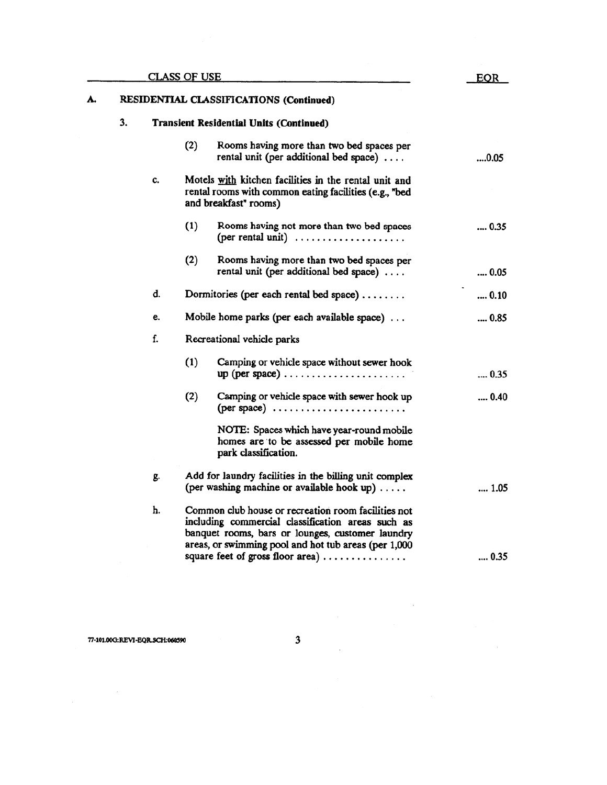| <u>CLASS OF USE</u> |                                         |                                                | <b>EQR</b> |                                                                                                                                                                                                                      |      |
|---------------------|-----------------------------------------|------------------------------------------------|------------|----------------------------------------------------------------------------------------------------------------------------------------------------------------------------------------------------------------------|------|
| A.                  | RESIDENTIAL CLASSIFICATIONS (Continued) |                                                |            |                                                                                                                                                                                                                      |      |
|                     | 3.                                      | <b>Transient Residential Units (Continued)</b> |            |                                                                                                                                                                                                                      |      |
|                     |                                         |                                                | (2)        | Rooms having more than two bed spaces per<br>rental unit (per additional bed space) $\ldots$                                                                                                                         | 0.05 |
|                     |                                         | C.                                             |            | Motels with kitchen facilities in the rental unit and<br>rental rooms with common eating facilities (e.g., "bed<br>and breakfast" rooms)                                                                             |      |
|                     |                                         |                                                | (1)        | Rooms having not more than two bed spaces<br>(per rental unit) $\dots \dots \dots \dots \dots$                                                                                                                       | 0.35 |
|                     |                                         |                                                | (2)        | Rooms having more than two bed spaces per<br>rental unit (per additional bed space)                                                                                                                                  | 0.05 |
|                     |                                         | d.                                             |            | Dormitories (per each rental bed space)                                                                                                                                                                              | 0.10 |
|                     |                                         | e.                                             |            | Mobile home parks (per each available space)                                                                                                                                                                         | 0.85 |
|                     |                                         | f.                                             |            | Recreational vehicle parks                                                                                                                                                                                           |      |
|                     |                                         |                                                | (1)        | Camping or vehicle space without sewer hook<br>up (per space) $\dots \dots \dots \dots \dots \dots \dots$                                                                                                            | 0.35 |
|                     |                                         |                                                | (2)        | Camping or vehicle space with sewer hook up<br>(per space) $\ldots$                                                                                                                                                  | 0.40 |
|                     |                                         |                                                |            | NOTE: Spaces which have year-round mobile<br>homes are to be assessed per mobile home<br>park classification.                                                                                                        |      |
|                     |                                         | g.                                             |            | Add for laundry facilities in the billing unit complex<br>(per washing machine or available hook up)                                                                                                                 | 1.05 |
|                     |                                         | h.                                             |            | Common club house or recreation room facilities not<br>including commercial classification areas such as<br>banquet rooms, bars or lounges, customer laundry<br>areas, or swimming pool and hot tub areas (per 1,000 |      |
|                     |                                         |                                                |            | square feet of gross floor area)                                                                                                                                                                                     | 0.35 |

 $\label{eq:2.1} \frac{1}{\sqrt{2\pi}}\int_{0}^{\infty}\frac{1}{\sqrt{2\pi}}\left(\frac{1}{\sqrt{2\pi}}\right)^{2\alpha}d\mu\,d\mu.$ 

 $\mathcal{A}(\mathcal{A})$  and  $\mathcal{A}(\mathcal{A})$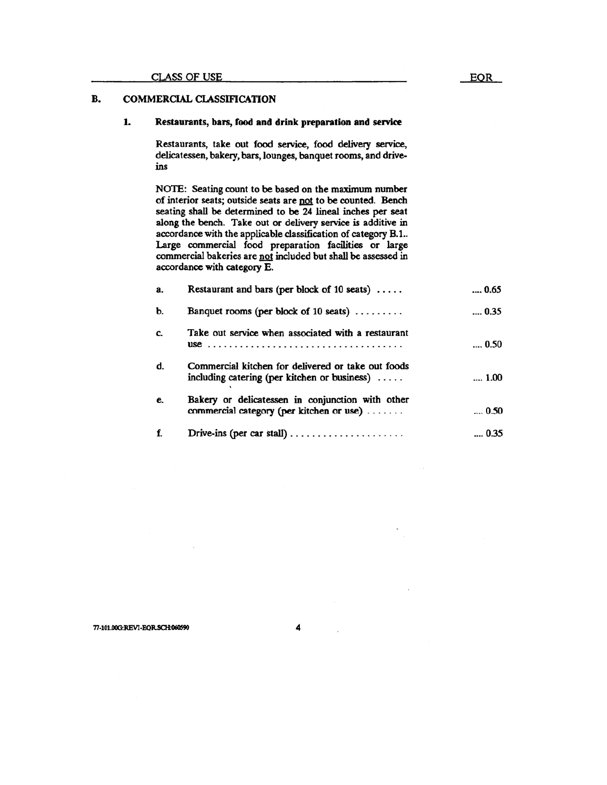## B. **COMMERCIAL CLASSIFICATION**

#### 1. Restaurants, bars, food and drink preparation and service

Restaurants, take out food service, food delivery service, delicatessen, bakery, bars, lounges, banquet rooms, and driveins

NOTE: Seating count to be based on the maximum number of interior seats; outside seats are not to be counted. Bench seating shall be determined to be 24 lineal inches per seat along the bench. Take out or delivery service is additive in accordance with the applicable classification of category B.1.. Large commercial food preparation facilities or large commercial bakeries are not included but shall be assessed in accordance with category E.

| а. | Restaurant and bars (per block of 10 seats) $\dots$ .                                                         | 0.65         |
|----|---------------------------------------------------------------------------------------------------------------|--------------|
| Ъ. | Banquet rooms (per block of 10 seats) $\ldots \ldots$                                                         | $\dots 0.35$ |
| c. | Take out service when associated with a restaurant                                                            | 0.50         |
| d. | Commercial kitchen for delivered or take out foods<br>including catering (per kitchen or business) $\ldots$ . | 1.00         |
| e. | Bakery or delicatessen in conjunction with other<br>commercial category (per kitchen or use)                  | $\dots$ 0.50 |
|    |                                                                                                               | 0.35         |

4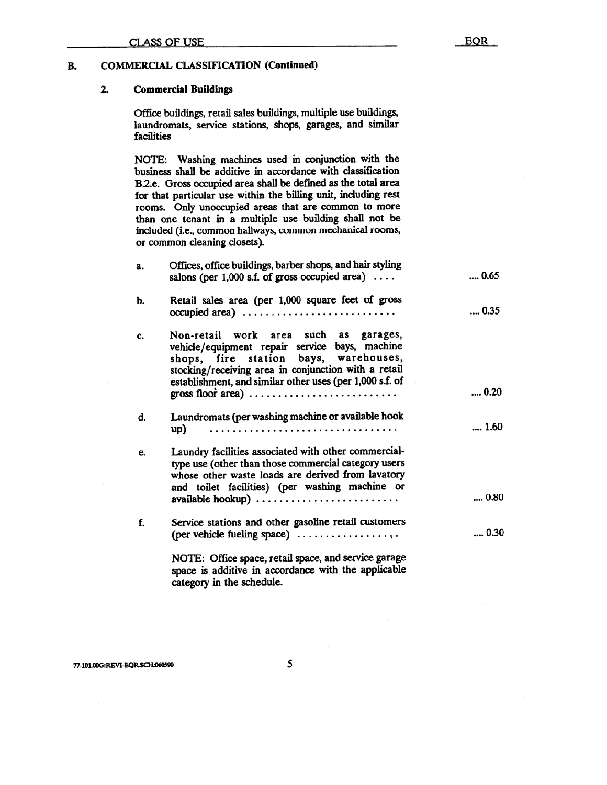#### 2. **Commercial Buildings**

Office buildings, retail sales buildings, multiple use buildings, laundromats, service stations, shops, garages, and similar facilities

NOTE: Washing machines used in conjunction with the business shall be additive in accordance with classification B.2.e. Gross occupied area shall be defined as the total area for that particular use within the billing unit, including rest rooms. Only unoccupied areas that are common to more than one tenant in a multiple use building shall not be included (i.e., common hallways, common mechanical rooms, or common cleaning closets).

| a. | Offices, office buildings, barber shops, and hair styling<br>salons (per $1,000$ s.f. of gross occupied area)                                                                                                                                                                                                                       | $\dots 0.65$ |
|----|-------------------------------------------------------------------------------------------------------------------------------------------------------------------------------------------------------------------------------------------------------------------------------------------------------------------------------------|--------------|
| b. | Retail sales area (per 1,000 square feet of gross<br>$occupied \ area) \ \dots \dots \dots \dots \dots \dots \dots \dots \dots$                                                                                                                                                                                                     | 0.35         |
| c. | Non-retail work area such as garages,<br>vehicle/equipment repair service bays, machine<br>shops, fire station bays, warehouses,<br>stocking/receiving area in conjunction with a retail<br>establishment, and similar other uses (per 1,000 s.f. of<br>gross floor area) $\ldots \ldots \ldots \ldots \ldots \ldots \ldots \ldots$ | 0.20         |
|    |                                                                                                                                                                                                                                                                                                                                     |              |
| d. | Laundromats (per washing machine or available hook<br>up)                                                                                                                                                                                                                                                                           | 1.60         |
| e. | Laundry facilities associated with other commercial-<br>type use (other than those commercial category users<br>whose other waste loads are derived from lavatory<br>and toilet facilities) (per washing machine or                                                                                                                 | 0.80         |
|    | available hookup)                                                                                                                                                                                                                                                                                                                   |              |
| f. | Service stations and other gasoline retail customers<br>(per vehicle fueling space)                                                                                                                                                                                                                                                 | 0.30         |
|    | NOTE: Office space, retail space, and service garage<br>space is additive in accordance with the applicable<br>category in the schedule.                                                                                                                                                                                            |              |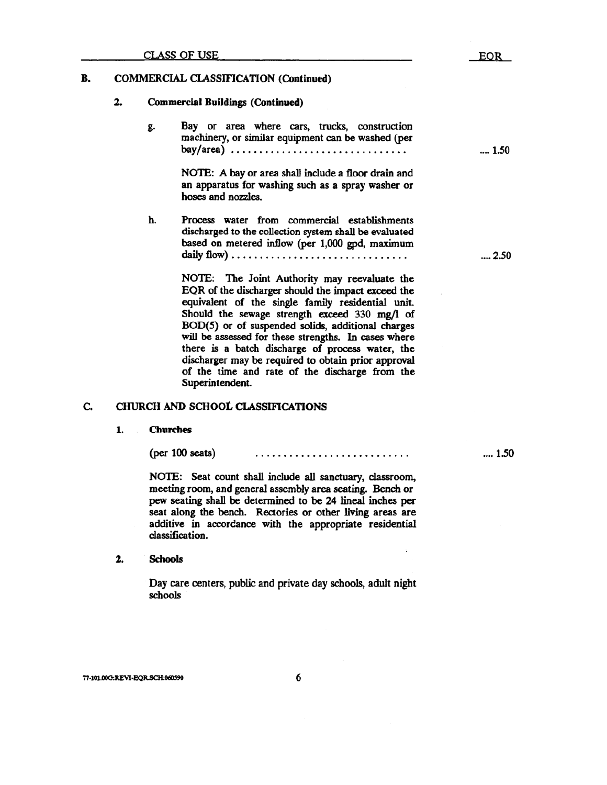### B. **COMMERCIAL CLASSIFICATION (Continued)**

#### 2. **Commercial Buildings (Continued)**

Bay or area where cars, trucks, construction g. machinery, or similar equipment can be washed (per bay/area) ................................

> NOTE: A bay or area shall include a floor drain and an apparatus for washing such as a spray washer or hoses and nozzles.

h. Process water from commercial establishments discharged to the collection system shall be evaluated based on metered inflow (per 1,000 gpd, maximum 

> NOTE: The Joint Authority may reevaluate the EQR of the discharger should the impact exceed the equivalent of the single family residential unit. Should the sewage strength exceed 330 mg/l of BOD(5) or of suspended solids, additional charges will be assessed for these strengths. In cases where there is a batch discharge of process water, the discharger may be required to obtain prior approval of the time and rate of the discharge from the Superintendent.

#### C. **CHURCH AND SCHOOL CLASSIFICATIONS**

#### 1. **Churches**

 $(per 100 \text{ seats})$ 

NOTE: Seat count shall include all sanctuary, classroom, meeting room, and general assembly area seating. Bench or pew seating shall be determined to be 24 lineal inches per seat along the bench. Rectories or other living areas are additive in accordance with the appropriate residential classification.

2. **Schools** 

> Day care centers, public and private day schools, adult night schools

 $.... 1.50$ 

 $... 2.50$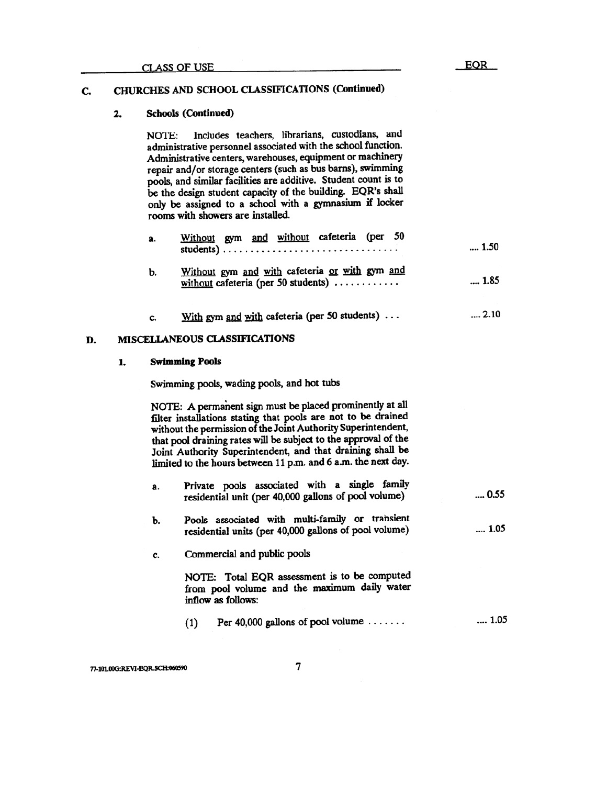## CHURCHES AND SCHOOL CLASSIFICATIONS (Continued) C.

#### 2. **Schools (Continued)**

Includes teachers, librarians, custodians, and **NOTE:** administrative personnel associated with the school function. Administrative centers, warehouses, equipment or machinery repair and/or storage centers (such as bus barns), swimming pools, and similar facilities are additive. Student count is to be the design student capacity of the building. EQR's shall only be assigned to a school with a gymnasium if locker rooms with showers are installed.

 $\sim$ 

| а. | Without gym and without cateteria (per 50                                             | 1.50         |
|----|---------------------------------------------------------------------------------------|--------------|
| Ъ. | Without gym and with cafeteria or with gym and<br>without cafeteria (per 50 students) | 1.85         |
| c. | With gym and with cafeteria (per 50 students) $\dots$                                 | $\dots$ 2.10 |

### MISCELLANEOUS CLASSIFICATIONS D.

#### **Swimming Pools** 1.

Swimming pools, wading pools, and hot tubs

NOTE: A permanent sign must be placed prominently at all filter installations stating that pools are not to be drained without the permission of the Joint Authority Superintendent, that pool draining rates will be subject to the approval of the Joint Authority Superintendent, and that draining shall be limited to the hours between 11 p.m. and 6 a.m. the next day.

| a. | Private pools associated with a single family<br>residential unit (per 40,000 gallons of pool volume)    | $\dots 0.55$ |
|----|----------------------------------------------------------------------------------------------------------|--------------|
| b. | Pools associated with multi-family or transient<br>residential units (per 40,000 gallons of pool volume) | 1.05         |
| c. | Commercial and public pools                                                                              |              |
|    |                                                                                                          |              |

NOTE: Total EQR assessment is to be computed from pool volume and the maximum daily water inflow as follows:

 $... 1.05$ Per 40,000 gallons of pool volume  $\dots\dots$  $(1)$